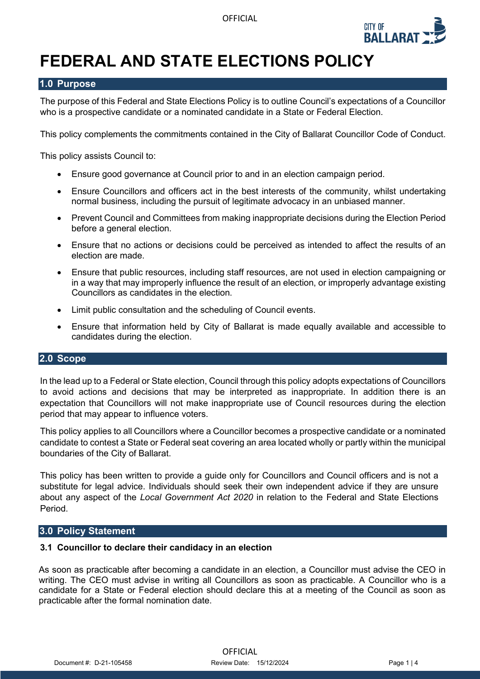

# **FEDERAL AND STATE ELECTIONS POLICY**

# **1.0 Purpose**

The purpose of this Federal and State Elections Policy is to outline Council's expectations of a Councillor who is a prospective candidate or a nominated candidate in a State or Federal Election.

This policy complements the commitments contained in the City of Ballarat Councillor Code of Conduct.

This policy assists Council to:

- Ensure good governance at Council prior to and in an election campaign period.
- Ensure Councillors and officers act in the best interests of the community, whilst undertaking normal business, including the pursuit of legitimate advocacy in an unbiased manner.
- Prevent Council and Committees from making inappropriate decisions during the Election Period before a general election.
- Ensure that no actions or decisions could be perceived as intended to affect the results of an election are made.
- Ensure that public resources, including staff resources, are not used in election campaigning or in a way that may improperly influence the result of an election, or improperly advantage existing Councillors as candidates in the election.
- Limit public consultation and the scheduling of Council events.
- Ensure that information held by City of Ballarat is made equally available and accessible to candidates during the election.

# **2.0 Scope**

In the lead up to a Federal or State election, Council through this policy adopts expectations of Councillors to avoid actions and decisions that may be interpreted as inappropriate. In addition there is an expectation that Councillors will not make inappropriate use of Council resources during the election period that may appear to influence voters.

This policy applies to all Councillors where a Councillor becomes a prospective candidate or a nominated candidate to contest a State or Federal seat covering an area located wholly or partly within the municipal boundaries of the City of Ballarat.

This policy has been written to provide a guide only for Councillors and Council officers and is not a substitute for legal advice. Individuals should seek their own independent advice if they are unsure about any aspect of the *Local Government Act 2020* in relation to the Federal and State Elections Period.

# **3.0 Policy Statement**

#### **3.1 Councillor to declare their candidacy in an election**

As soon as practicable after becoming a candidate in an election, a Councillor must advise the CEO in writing. The CEO must advise in writing all Councillors as soon as practicable. A Councillor who is a candidate for a State or Federal election should declare this at a meeting of the Council as soon as practicable after the formal nomination date.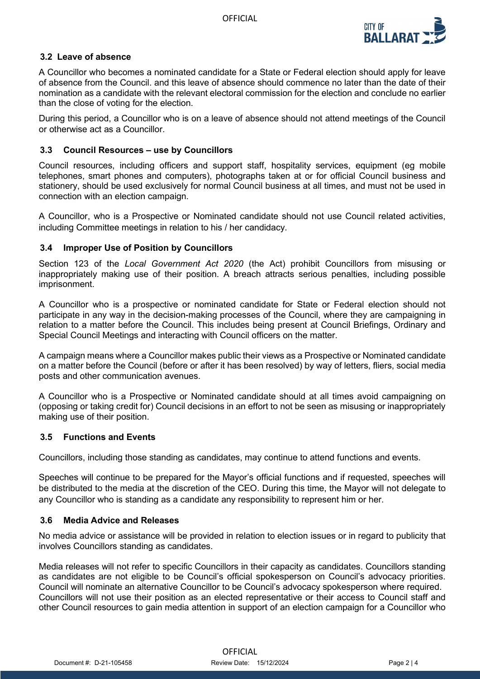

# **3.2 Leave of absence**

A Councillor who becomes a nominated candidate for a State or Federal election should apply for leave of absence from the Council. and this leave of absence should commence no later than the date of their nomination as a candidate with the relevant electoral commission for the election and conclude no earlier than the close of voting for the election.

During this period, a Councillor who is on a leave of absence should not attend meetings of the Council or otherwise act as a Councillor.

# **3.3 Council Resources – use by Councillors**

Council resources, including officers and support staff, hospitality services, equipment (eg mobile telephones, smart phones and computers), photographs taken at or for official Council business and stationery, should be used exclusively for normal Council business at all times, and must not be used in connection with an election campaign.

A Councillor, who is a Prospective or Nominated candidate should not use Council related activities, including Committee meetings in relation to his / her candidacy.

# **3.4 Improper Use of Position by Councillors**

Section 123 of the *Local Government Act 2020* (the Act) prohibit Councillors from misusing or inappropriately making use of their position. A breach attracts serious penalties, including possible imprisonment.

A Councillor who is a prospective or nominated candidate for State or Federal election should not participate in any way in the decision-making processes of the Council, where they are campaigning in relation to a matter before the Council. This includes being present at Council Briefings, Ordinary and Special Council Meetings and interacting with Council officers on the matter.

A campaign means where a Councillor makes public their views as a Prospective or Nominated candidate on a matter before the Council (before or after it has been resolved) by way of letters, fliers, social media posts and other communication avenues.

A Councillor who is a Prospective or Nominated candidate should at all times avoid campaigning on (opposing or taking credit for) Council decisions in an effort to not be seen as misusing or inappropriately making use of their position.

# **3.5 Functions and Events**

Councillors, including those standing as candidates, may continue to attend functions and events.

Speeches will continue to be prepared for the Mayor's official functions and if requested, speeches will be distributed to the media at the discretion of the CEO. During this time, the Mayor will not delegate to any Councillor who is standing as a candidate any responsibility to represent him or her.

#### **3.6 Media Advice and Releases**

No media advice or assistance will be provided in relation to election issues or in regard to publicity that involves Councillors standing as candidates.

Media releases will not refer to specific Councillors in their capacity as candidates. Councillors standing as candidates are not eligible to be Council's official spokesperson on Council's advocacy priorities. Council will nominate an alternative Councillor to be Council's advocacy spokesperson where required. Councillors will not use their position as an elected representative or their access to Council staff and other Council resources to gain media attention in support of an election campaign for a Councillor who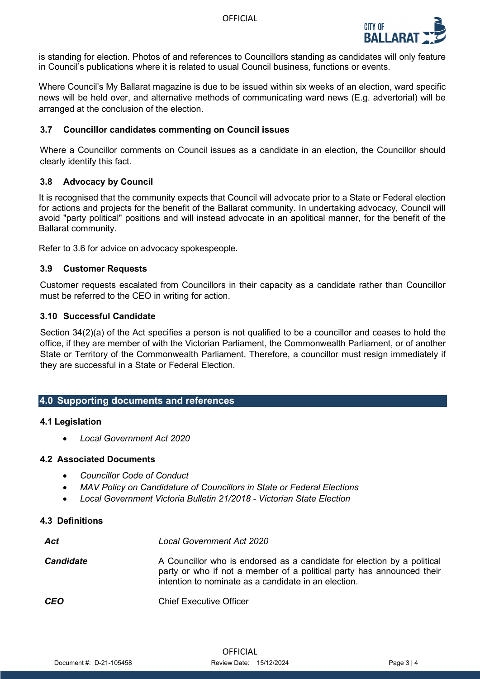

is standing for election. Photos of and references to Councillors standing as candidates will only feature in Council's publications where it is related to usual Council business, functions or events.

Where Council's My Ballarat magazine is due to be issued within six weeks of an election, ward specific news will be held over, and alternative methods of communicating ward news (E.g. advertorial) will be arranged at the conclusion of the election.

## **3.7 Councillor candidates commenting on Council issues**

Where a Councillor comments on Council issues as a candidate in an election, the Councillor should clearly identify this fact.

### **3.8 Advocacy by Council**

It is recognised that the community expects that Council will advocate prior to a State or Federal election for actions and projects for the benefit of the Ballarat community. In undertaking advocacy, Council will avoid "party political" positions and will instead advocate in an apolitical manner, for the benefit of the Ballarat community.

Refer to 3.6 for advice on advocacy spokespeople.

#### **3.9 Customer Requests**

Customer requests escalated from Councillors in their capacity as a candidate rather than Councillor must be referred to the CEO in writing for action.

## **3.10 Successful Candidate**

Section 34(2)(a) of the Act specifies a person is not qualified to be a councillor and ceases to hold the office, if they are member of with the Victorian Parliament, the Commonwealth Parliament, or of another State or Territory of the Commonwealth Parliament. Therefore, a councillor must resign immediately if they are successful in a State or Federal Election.

#### **4.0 Supporting documents and references**

#### **4.1 Legislation**

• *Local Government Act 2020*

#### **4.2 Associated Documents**

- *Councillor Code of Conduct*
- *MAV Policy on Candidature of Councillors in State or Federal Elections*
- *Local Government Victoria Bulletin 21/2018 - Victorian State Election*

#### **4.3 Definitions**

| Act              | <b>Local Government Act 2020</b>                                                                                                                                                                         |
|------------------|----------------------------------------------------------------------------------------------------------------------------------------------------------------------------------------------------------|
| <b>Candidate</b> | A Councillor who is endorsed as a candidate for election by a political<br>party or who if not a member of a political party has announced their<br>intention to nominate as a candidate in an election. |
| <b>CEO</b>       | <b>Chief Executive Officer</b>                                                                                                                                                                           |